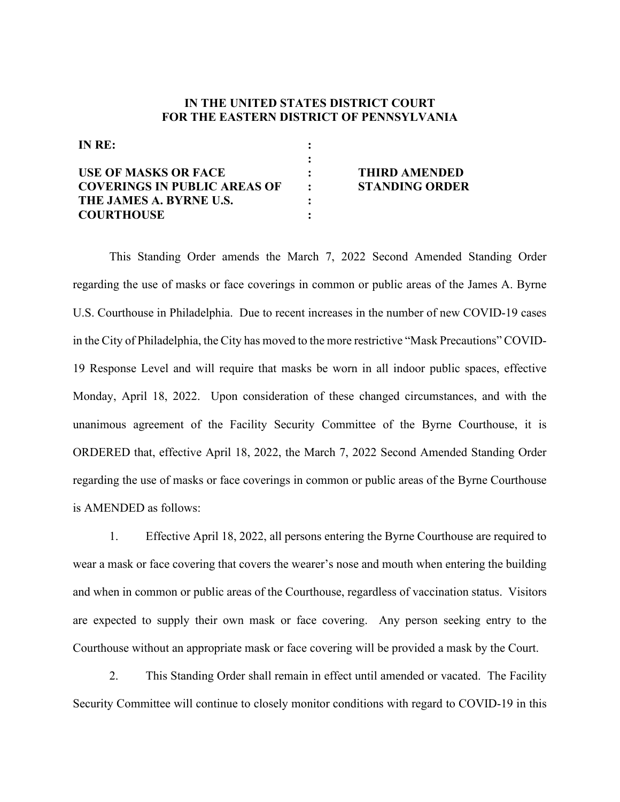## **IN THE UNITED STATES DISTRICT COURT FOR THE EASTERN DISTRICT OF PENNSYLVANIA**

| IN RE:                              |                             |                       |
|-------------------------------------|-----------------------------|-----------------------|
|                                     |                             |                       |
| <b>USE OF MASKS OR FACE</b>         |                             | <b>THIRD AMENDED</b>  |
| <b>COVERINGS IN PUBLIC AREAS OF</b> | $\mathcal{L} = \mathcal{L}$ | <b>STANDING ORDER</b> |
| THE JAMES A. BYRNE U.S.             |                             |                       |
| <b>COURTHOUSE</b>                   |                             |                       |

This Standing Order amends the March 7, 2022 Second Amended Standing Order regarding the use of masks or face coverings in common or public areas of the James A. Byrne U.S. Courthouse in Philadelphia. Due to recent increases in the number of new COVID-19 cases in the City of Philadelphia, the City has moved to the more restrictive "Mask Precautions" COVID-19 Response Level and will require that masks be worn in all indoor public spaces, effective Monday, April 18, 2022. Upon consideration of these changed circumstances, and with the unanimous agreement of the Facility Security Committee of the Byrne Courthouse, it is ORDERED that, effective April 18, 2022, the March 7, 2022 Second Amended Standing Order regarding the use of masks or face coverings in common or public areas of the Byrne Courthouse is AMENDED as follows:

1. Effective April 18, 2022, all persons entering the Byrne Courthouse are required to wear a mask or face covering that covers the wearer's nose and mouth when entering the building and when in common or public areas of the Courthouse, regardless of vaccination status. Visitors are expected to supply their own mask or face covering. Any person seeking entry to the Courthouse without an appropriate mask or face covering will be provided a mask by the Court.

2. This Standing Order shall remain in effect until amended or vacated. The Facility Security Committee will continue to closely monitor conditions with regard to COVID-19 in this